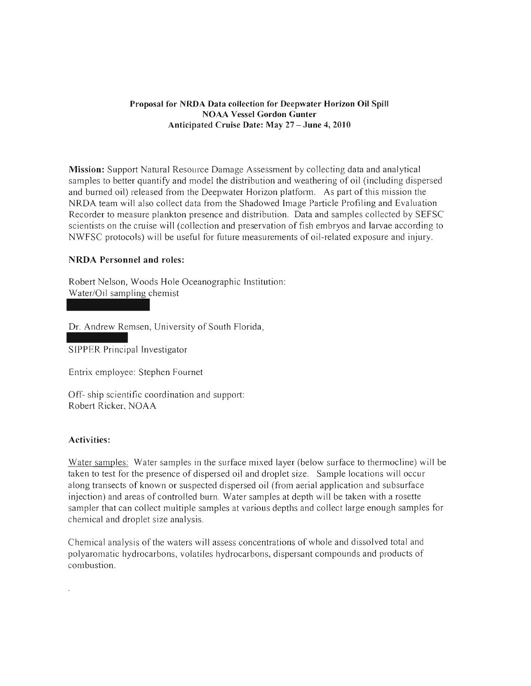# Proposal for NRDA Data collection for Deepwater Horizon Oil Spill NOAA Vessel Gordon Gunter Anticipated Cruise Date: May 27 - June 4, 2010

Mission: Support Natural Resource Damage Assessment by collecting data and analytical samples to better quantify and model the distribution and weathering of oil (including dispersed and burned oil) released from the Deepwater Horizon platform. As part of this mission the NRDA team will also collect data from the Shadowed Image Particle Profiling and Evaluation Recorder to measure plankton presence and distribution. Data and samples collected by SEFSC scientists on the cruise will (collection and preservation of fish embryos and larvae according to NWFSC protocols) will be useful for future measurements of oil-related exposure and injury.

# NRDA Personnel and roles:

Robert Nelson, Woods Hole Oceanographic Institution: Water/Oil sampling chemist

Dr. Andrew Remsen, University of South Florida,

SIPPER Principal Investigator

Entrix employee: Stephen Fournet

Off- ship scientific coordination and support: Robert Ricker, NOAA

# Activities:

Water samples: Water samples in the surface mixed layer (below surface to thermocline) will be taken to test for the presence of dispersed oil and droplet size. Sample locations will occur along transects of known or suspected dispersed oil (from aerial application and subsurface injection) and areas of controlled bum. Water samples at depth will be taken with a rosette sampler that can collect multiple samples at various depths and collect large enough samples for chemical and droplet size analysis.

Chemical analysis of the waters will assess concentrations of whole and dissolved total and polyaromatic hydrocarbons, volatiles hydrocarbons, dispersant compounds and products of combustion.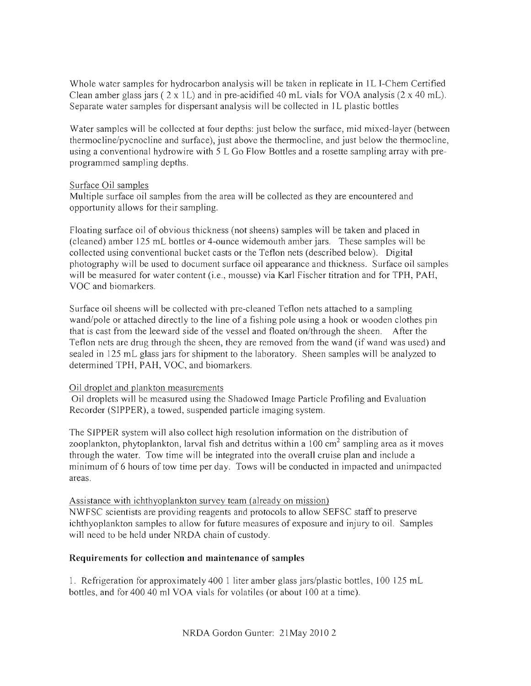Whole water samples for hydrocarbon analysis will be taken in replicate in 1L I-Chem Certified Clean amber glass jars  $(2 \times 1)$  and in pre-acidified 40 mL vials for VOA analysis  $(2 \times 40$  mL). Separate water samples for dispersant analysis will be collected in 1 L plastic bottles

Water samples will be collected at four depths: just below the surface, mid mixed-layer (between thermocline/pycnocline and surface), just above the thermocline, and just below the thermocline, using a conventional hydrowire with 5 L Go Flow Bottles and a rosette sampling array with preprogrammed sampling depths.

# Surface Oil samples

Multiple surface oil samples from the area will be collected as they are encountered and opportunity allows for their sampling.

Floating surface oil of obvious thickness (not sheens) samples will be taken and placed in (cleaned) amber 125 mL bottles or 4-ounce widemouth amber jars. These samples will be collected using conventional bucket casts or the Teflon nets (described below). Digital photography will be used to document surface oil appearance and thickness. Surface oil samples will be measured for water content (i.e., mousse) via Karl Fischer titration and for TPH, PAH, VOC and biomarkers.

Surface oil sheens will be collected with pre-cleaned Teflon nets attached to a sampling wand/pole or attached directly to the line of a fishing pole using a hook or wooden clothes pin that is cast from the leeward side of the vessel and floated on/through the sheen. After the Teflon nets are drug through the sheen, they are removed from the wand (if wand was used) and sealed in 125 mL glass jars for shipment to the laboratory. Sheen samples will be analyzed to determined TPH, PAH, VOC, and biomarkers.

# Oil droplet and plankton measurements

Oil droplets will be measured using the Shadowed Image Particle Profiling and Evaluation Recorder (SIPPER), a towed, suspended particle imaging system.

The SIPPER system will also collect high resolution information on the distribution of zooplankton, phytoplankton, larval fish and detritus within a  $100 \text{ cm}^2$  sampling area as it moves through the water. Tow time will be integrated into the overall cruise plan and include a minimum of 6 hours of tow time per day. Tows will be conducted in impacted and unimpacted areas.

# Assistance with ichthyoplankton survey team (already on mission)

NWFSC scientists are providing reagents and protocols to allow SEFSC staff to preserve ichthyoplankton samples to allow for future measures of exposure and injury to oil. Samples will need to be held under NRDA chain of custody.

# **Requirements for collection and maintenance of samples**

I. Refrigeration for approximately 400 1 liter amber glass jars/plastic bottles, 100 125 mL bottles, and for 400 40 ml VOA vials for volatiles (or about 100 at a time).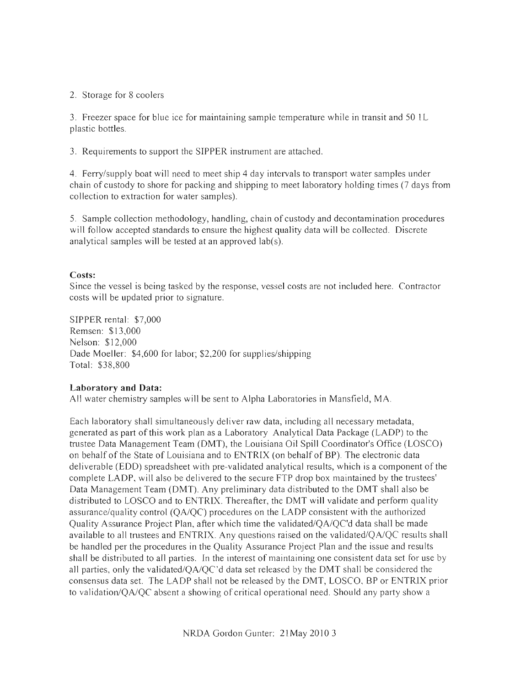# 2. Storage for 8 coolers

3. Freezer space for blue ice for maintaining sample temperature while in transit and 50 IL plastic bottles.

3. Requirements to support the SIPPER instmment are attached.

4. Ferry/supply boat will need to meet ship 4 day intervals to transport water samples under chain of custody to shore for packing and shipping to meet laboratory holding times (7 days from collection to extraction for water samples).

5. Sample collection methodology, handling, chain of custody and decontamination procedures will follow accepted standards to ensure the highest quality data will be collected. Discrete analytical samples will be tested at an approved lab(s).

# Costs:

Since the vessel is being tasked by the response, vessel costs are not included here. Contractor costs will be updated prior to signature.

SIPPER rental: \$7,000 Remsen: \$13,000 Nelson: \$12,000 Dade Moeller: \$4,600 for labor; \$2,200 for supplies/shipping Total: \$38,800

# **Laboratory and Data:**

All water chemistry samples will be sent to Alpha Laboratories in Mansfield, MA.

Each laboratory shall simultaneously deliver raw data, including all necessary metadata, generated as part of this work plan as a Laboratory Analytical Data Package (LADP) to the trustee Data Management Team (DMT), the Louisiana Oil Spill Coordinator's Office (LOSCO) on behalf of the State of Louisiana and to ENTRIX (on behalf of BP). The electronic data deliverable (EDD) spreadsheet with pre-validated analytical results, which is a component of the complete LADP, will also be delivered to the secure FTP drop box maintained by the trustees' Data Management Team (DMT). Any preliminary data distributed to the DMT shall also be distributed to LOSCO and to ENTRIX. Thereafter, the DMT will validate and perform quality assurance/quality control (QA/QC) procedures on the LADP consistent with the authorized Quality Assurance Project Plan, after which time the validated/QA/QC'd data shall be made available to all trustees and ENTRIX. Any questions raised on the validated/QA/QC results shall be handled per the procedures in the Quality Assurance Project Plan and the issue and results shall be distributed to all parties. In the interest of maintaining one consistent data set for use by all parties, only the validated/ $OA/OC'$ d data set released by the DMT shall be considered the consensus data set. The LADP shall not be released by the DMT, LOSCO, BP or ENTRIX prior to validation/OA/OC absent a showing of critical operational need. Should any party show a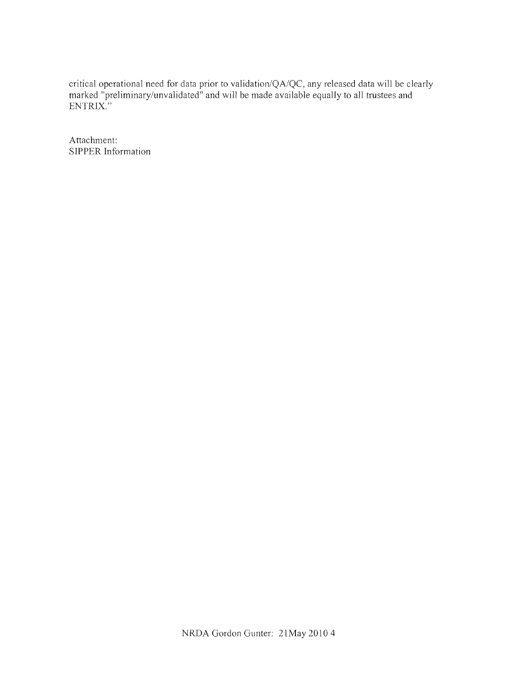critical operational need for data prior to validation/QA/QC, any released data will be clearly marked "preliminary/unvalidated" and will be made available equally to all trustees and ENTRIX."

Attachment: SIPPER Information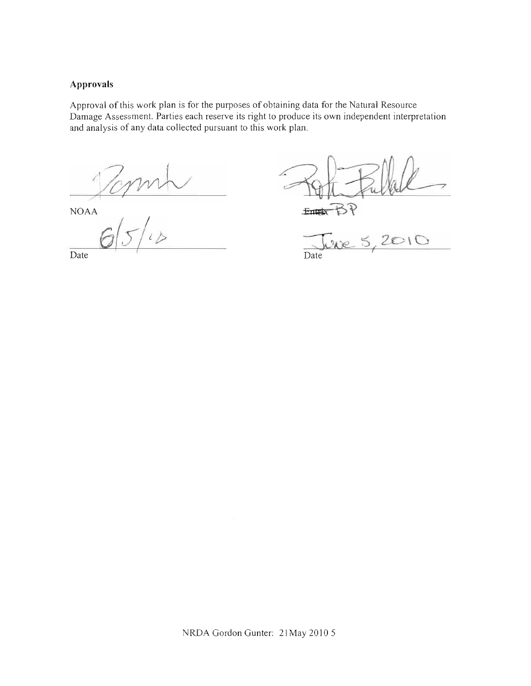# **Approvals**

Approval of this work plan is for the purposes of obtaining data for the Natural Resource Damage Assessment. Parties each reserve its right to produce its own independent interpretation and analysis of any data collected pursuant to this work plan.

Topm

NOAA

 $65/10$  Date 5

Date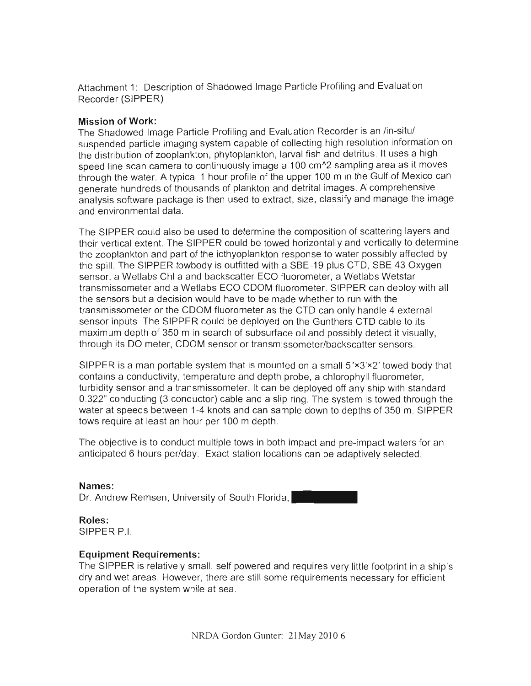Attachment 1: Description of Shadowed Image Particle Profiling and Evaluation Recorder (SIPPER)

# **Mission of Work:**

The Shadowed Image Particle Profiling and Evaluation Recorder is an /in-situ/ suspended particle imaging system capable of collecting high resolution information on the distribution of zooplankton, phytoplankton, larval fish and detritus. It uses a high speed line scan camera to continuously image a 100 cm<sup>^</sup>2 sampling area as it moves through the water. A typical 1 hour profile of the upper 100 m in the Gulf of Mexico can generate hundreds of thousands of plankton and detrital images. A comprehensive analysis software package is then used to extract, size, classify and manage the image and environmental data.

The SIPPER could also be used to determine the composition of scattering layers and their vertical extent. The SIPPER could be towed horizontally and vertically to determine the zooplankton and part of the icthyoplankton response to water possibly affected by the spill. The SIPPER towbody is outfitted with a SBE-19 plus CTD, SBE 43 Oxygen sensor, a Wetlabs Chi a and backscatter ECO fluorometer, a Wetlabs Wetstar transmissometer and a Wetlabs ECO CDOM fluorometer. SIPPER can deploy with all the sensors but a decision would have to be made whether to run with the transmissometer or the CDOM fluorometer as the CTD can only handle 4 external sensor inputs. The SIPPER could be deployed on the Gunthers CTD cable to its maximum depth of 350 m in search of subsurface oil and possibly detect it visually, through its DO meter, CDOM sensor or transmissometer/backscatter sensors.

SIPPER is a man portable system that is mounted on a small  $5' \times 3' \times 2'$  towed body that contains a conductivity, temperature and depth probe, a chlorophyll fluorometer, turbidity sensor and a transmissometer. It can be deployed off any ship with standard 0.322" conducting (3 conductor) cable and a slip ring. The system is towed through the water at speeds between 1-4 knots and can sample down to depths of 350 m. SIPPER tows require at least an hour per 100 m depth.

The objective is to conduct multiple tows in both impact and pre-impact waters for an anticipated 6 hours per/day. Exact station locations can be adaptively selected.

**Names:**  Dr. Andrew Remsen, University of South Florida,

**Roles:**  SIPPER P.I.

# **Equipment Requirements:**

The SIPPER is relatively small, self powered and requires very little footprint in a ship's dry and wet areas. However, there are still some requirements necessary for efficient operation of the system while at sea .